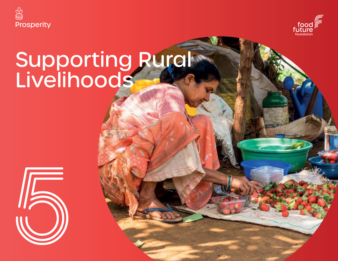



# Supporting Rural Livelihoods

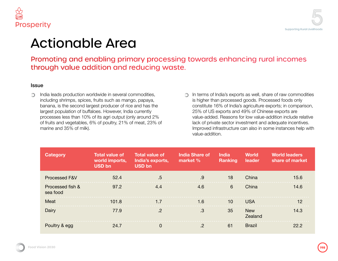

### imary processing towards enhancing rural incomes d reducing waste.

lal commodities, nango, papaya,  $\frac{1}{2}$  rice and has the India currently t (only around 2% % of meat, 23% of

Action Area

marine and 35% of milk).

In terms of India's exports as well, share of raw commodities  $\bigcirc$ is higher than processed goods. Processed foods only constitute 16% of India's agriculture exports; in comparison, 25% of US exports and 49% of Chinese exports are value-added. Reasons for low value-addition include relative lack of private sector investment and adequate incentives. Improved infrastructure can also in some instances help with value-addition.

| <b>Total value of</b><br>India's exports,<br><b>USD bn</b> | <b>India Share of</b><br>market % | <b>India</b><br><b>Ranking</b> | <b>World</b><br><b>leader</b> | <b>World leaders</b><br>share of market |
|------------------------------------------------------------|-----------------------------------|--------------------------------|-------------------------------|-----------------------------------------|
|                                                            |                                   | 18                             | China                         | 15.6                                    |
| 4.4                                                        | 4.6                               | 6                              | China                         | 14.6                                    |
|                                                            | 1.6                               | 10                             | <b>USA</b>                    |                                         |
|                                                            |                                   | 35                             | <b>New</b><br>Zealand         | 14.3                                    |
|                                                            |                                   | 61                             | <b>Brazil</b>                 |                                         |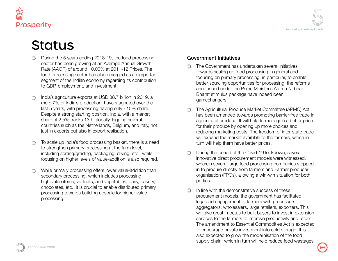

- During the 5 years ending 2018-19, the food processing sector has been growing at an Average Annual Growth Rate (AAGR) of around 10.00% at 2011-12 Prices. The food processing sector has also emerged as an important segment of the Indian economy regarding its contribution to GDP, employment, and investment.
- India's agriculture exports at USD 38.7 billion in 2019, a ∩ mere 7% of India's production, have stagnated over the last 5 years, with processing having only ~15% share. Despite a strong starting position, India, with a market share of 2.5%, ranks 13th globally, lagging several countries such as the Netherlands, Belgium, and Italy, not just in exports but also in export realisation.
- To scale up India's food processing basket, there is a need to strengthen primary processing at the farm level, including sorting/grading, packaging, drying, etc., while focusing on higher levels of value-addition is also required.
- While primary processing offers lower value-addition than ∩ secondary processing, which includes processing high-value items, viz fruits, and vegetables, dairy, bakery, chocolates, etc., it is crucial to enable distributed primary processing towards building upscale for higher-value processing.

### Government Initiatives

- The Government has undertaken several initiatives towards scaling up food processing in general and focusing on primary processing, in particular, to enable better sourcing opportunities for processing, the reforms announced under the Prime Minister's Aatma Nirbhar Bharat stimulus package have indeed been gamechangers.
- The Agricultural Produce Market Committee (APMC) Act has been amended towards promoting barrier-free trade in agricultural produce. It will help farmers gain a better price for their produce by opening up more choices and reducing marketing costs. The freedom of inter-state trade will expand the market available to the farmers, which in turn will help them have better prices.
- During the period of the Covid-19 lockdown, several  $\bigcirc$ innovative direct procurement models were witnessed, wherein several large food processing companies stepped in to procure directly from farmers and Farmer producer organisation (FPOs), allowing a win-win situation for both parties.
- In line with the demonstrative success of these procurement models, the government has facilitated legalised engagement of farmers with processors, aggregators, wholesalers, large retailers, exporters. This will give great impetus to bulk buyers to invest in extension services to the farmers to improve productivity and return. The amendment to Essential Commodities Act is expected to encourage private investment into cold storage. It is also expected to grow the modernisation of the food supply chain, which in turn will help reduce food wastages.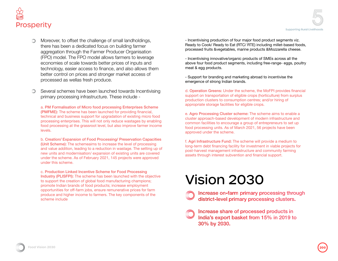

- Moreover, to offset the challenge of small landholdings, there has been a dedicated focus on building farmer aggregation through the Farmer Producer Organisation (FPO) model. The FPO model allows farmers to leverage economies of scale towards better prices of inputs and technology, easier access to finance, and also allows them better control on prices and stronger market access of processed as wellas fresh produce.
- Several schemes have been launched towards Incentivising primary processing infrastructure. These include -

a. PM Formalisation of Micro food processing Enterprises Scheme (PMFME): The scheme has been launched for providing financial, technical and business support for upgradation of existing micro food processing enterprises. This will not only reduce wastages by enabling food processing at the grassroot level, but also improve farmer income levels.

b. Creation/ Expansion of Food Processing/ Preservation Capacities (Unit Scheme): The schemeaims to increase the level of processing and value addition, leading to a reduction in wastage. The setting up of new units and modernisation/ expansion of existing units are covered under the scheme. As of February 2021, 145 projects were approved under this scheme.

c. Production Linked Incentive Scheme for Food Processing Industry (PLISFPI): The scheme has been launched with the objective to support the creation of global food manufacturing champions; promote Indian brands of food products; increase employment opportunities for off-farm jobs, ensure remunerative prices for farm produce and higher income to farmers. The key components of the scheme include

- Incentivising production of four major food product segments viz. Ready to Cook/ Ready to Eat (RTC/ RTE) including millet-based foods, processed fruits &vegetables, marine products &Mozzarella cheese.

- Incentivising innovative/organic products of SMEs across all the above four food product segments, including free-range- eggs, poultry meat & egg products.

- Support for branding and marketing abroad to incentivise the emergence of strong Indian brands.

d. Operation Greens: Under the scheme, the MoFPI provides financial support on transportation of eligible crops (horticulture) from surplus production clusters to consumption centres; and/or hiring of appropriate storage facilities for eligible crops.

e. Agro Processing Cluster scheme: The scheme aims to enable a cluster approach-based development of modern infrastructure and common facilities to encourage a group of entrepreneurs to set up food processing units. As of March 2021, 56 projects have been approved under the scheme.

f. Agri Infrastructure Fund: The scheme will provide a medium to long-term debt financing facility for investment in viable projects for post-harvest management infrastructure and community farming assets through interest subvention and financial support.

# Vision 2030



Increase share of processed products in India's export basket from 15% in 2019 to 30% by 2030.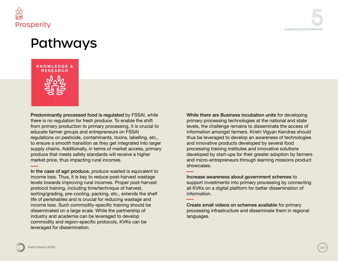

## Pathways



Predominantly processed food is regulated by FSSAI, while there is no regulation for fresh produce. To enable the shift from primary production to primary processing, it is crucial to educate farmer groups and entrepreneurs on FSSAI regulations on pesticide, contaminants, toxins, labelling, etc., to ensure a smooth transition as they get integrated into larger supply chains. Additionally, in terms of market access, primary produce that meets safety standards will receive a higher market price, thus impacting rural incomes.

In the case of agri produce, produce wasted is equivalent to income loss. Thus, it is key to reduce post-harvest wastage levels towards improving rural incomes. Proper post-harvest protocol training, including time/technique of harvest, sorting/grading, pre-cooling, packing, etc., extends the shelf life of perishables and is crucial for reducing wastage and income loss. Such commodity-specific training should be disseminated on a large scale. While the partnership of industry and academia can be leveraged to develop commodity and region-specific protocols, KVKs can be leveraged for dissemination.

While there are Business incubation units for developing primary processing technologies at the national and state levels, the challenge remains to disseminate the access of information amongst farmers. Krishi Vigyan Kendras should thus be leveraged to develop an awareness of technologies and innovative products developed by several food processing training institutes and innovative solutions developed by start-ups for their greater adoption by farmers and micro-entrepreneurs through learning missions product showcases.

Increase awareness about government schemes to support investments into primary processing by connecting all KVKs on a digital platform for better dissemination of information.

Create small videos on schemes available for primary processing infrastructure and disseminate them in regional languages.